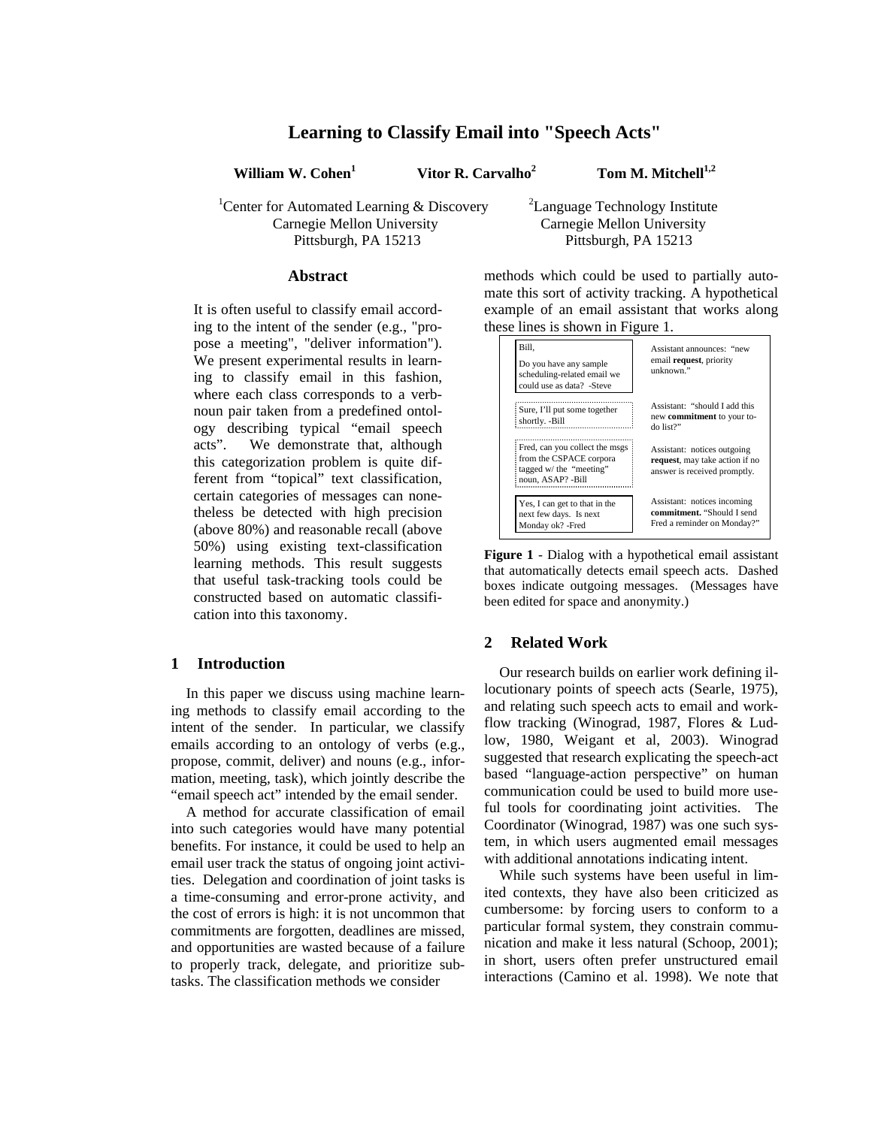# **Learning to Classify Email into "Speech Acts"**

**William W. Cohen<sup>1</sup>**

 **Vitor R. Carvalho<sup>2</sup>**

 **Tom M. Mitchell1,2**

<sup>1</sup> Center for Automated Learning  $\&$  Discovery Carnegie Mellon University Pittsburgh, PA 15213

<sup>2</sup>Language Technology Institute Carnegie Mellon University Pittsburgh, PA 15213

# **Abstract**

It is often useful to classify email according to the intent of the sender (e.g., "propose a meeting", "deliver information"). We present experimental results in learning to classify email in this fashion, where each class corresponds to a verbnoun pair taken from a predefined ontology describing typical "email speech acts". We demonstrate that, although this categorization problem is quite different from "topical" text classification, certain categories of messages can nonetheless be detected with high precision (above 80%) and reasonable recall (above 50%) using existing text-classification learning methods. This result suggests that useful task-tracking tools could be constructed based on automatic classification into this taxonomy.

### **1 Introduction**

In this paper we discuss using machine learning methods to classify email according to the intent of the sender. In particular, we classify emails according to an ontology of verbs (e.g., propose, commit, deliver) and nouns (e.g., information, meeting, task), which jointly describe the "email speech act" intended by the email sender.

A method for accurate classification of email into such categories would have many potential benefits. For instance, it could be used to help an email user track the status of ongoing joint activities. Delegation and coordination of joint tasks is a time-consuming and error-prone activity, and the cost of errors is high: it is not uncommon that commitments are forgotten, deadlines are missed, and opportunities are wasted because of a failure to properly track, delegate, and prioritize subtasks. The classification methods we consider

methods which could be used to partially automate this sort of activity tracking. A hypothetical example of an email assistant that works along these lines is shown in Figure 1.



**Figure 1** - Dialog with a hypothetical email assistant that automatically detects email speech acts. Dashed boxes indicate outgoing messages. (Messages have been edited for space and anonymity.)

# **2 Related Work**

Our research builds on earlier work defining illocutionary points of speech acts (Searle, 1975), and relating such speech acts to email and workflow tracking (Winograd, 1987, Flores & Ludlow, 1980, Weigant et al, 2003). Winograd suggested that research explicating the speech-act based "language-action perspective" on human communication could be used to build more useful tools for coordinating joint activities. The Coordinator (Winograd, 1987) was one such system, in which users augmented email messages with additional annotations indicating intent.

While such systems have been useful in limited contexts, they have also been criticized as cumbersome: by forcing users to conform to a particular formal system, they constrain communication and make it less natural (Schoop, 2001); in short, users often prefer unstructured email interactions (Camino et al. 1998). We note that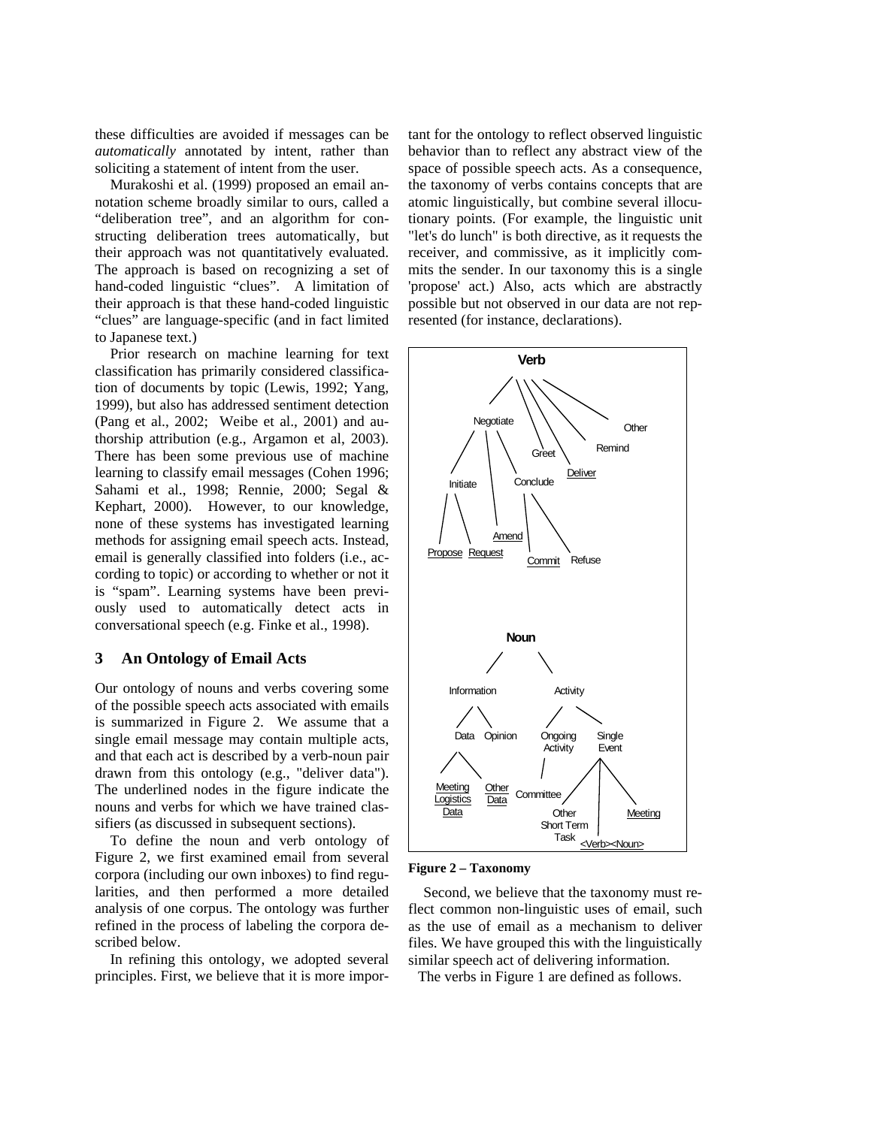these difficulties are avoided if messages can be *automatically* annotated by intent, rather than soliciting a statement of intent from the user.

Murakoshi et al. (1999) proposed an email annotation scheme broadly similar to ours, called a "deliberation tree", and an algorithm for constructing deliberation trees automatically, but their approach was not quantitatively evaluated. The approach is based on recognizing a set of hand-coded linguistic "clues". A limitation of their approach is that these hand-coded linguistic "clues" are language-specific (and in fact limited to Japanese text.)

Prior research on machine learning for text classification has primarily considered classification of documents by topic (Lewis, 1992; Yang, 1999), but also has addressed sentiment detection (Pang et al., 2002; Weibe et al., 2001) and authorship attribution (e.g., Argamon et al, 2003). There has been some previous use of machine learning to classify email messages (Cohen 1996; Sahami et al., 1998; Rennie, 2000; Segal & Kephart, 2000). However, to our knowledge, none of these systems has investigated learning methods for assigning email speech acts. Instead, email is generally classified into folders (i.e., according to topic) or according to whether or not it is "spam". Learning systems have been previously used to automatically detect acts in conversational speech (e.g. Finke et al., 1998).

## **3 An Ontology of Email Acts**

Our ontology of nouns and verbs covering some of the possible speech acts associated with emails is summarized in Figure 2. We assume that a single email message may contain multiple acts, and that each act is described by a verb-noun pair drawn from this ontology (e.g., "deliver data"). The underlined nodes in the figure indicate the nouns and verbs for which we have trained classifiers (as discussed in subsequent sections).

To define the noun and verb ontology of Figure 2, we first examined email from several corpora (including our own inboxes) to find regularities, and then performed a more detailed analysis of one corpus. The ontology was further refined in the process of labeling the corpora described below.

In refining this ontology, we adopted several principles. First, we believe that it is more impor-

tant for the ontology to reflect observed linguistic behavior than to reflect any abstract view of the space of possible speech acts. As a consequence, the taxonomy of verbs contains concepts that are atomic linguistically, but combine several illocutionary points. (For example, the linguistic unit "let's do lunch" is both directive, as it requests the receiver, and commissive, as it implicitly commits the sender. In our taxonomy this is a single 'propose' act.) Also, acts which are abstractly possible but not observed in our data are not represented (for instance, declarations).



#### **Figure 2 – Taxonomy**

Second, we believe that the taxonomy must reflect common non-linguistic uses of email, such as the use of email as a mechanism to deliver files. We have grouped this with the linguistically similar speech act of delivering information.

The verbs in Figure 1 are defined as follows.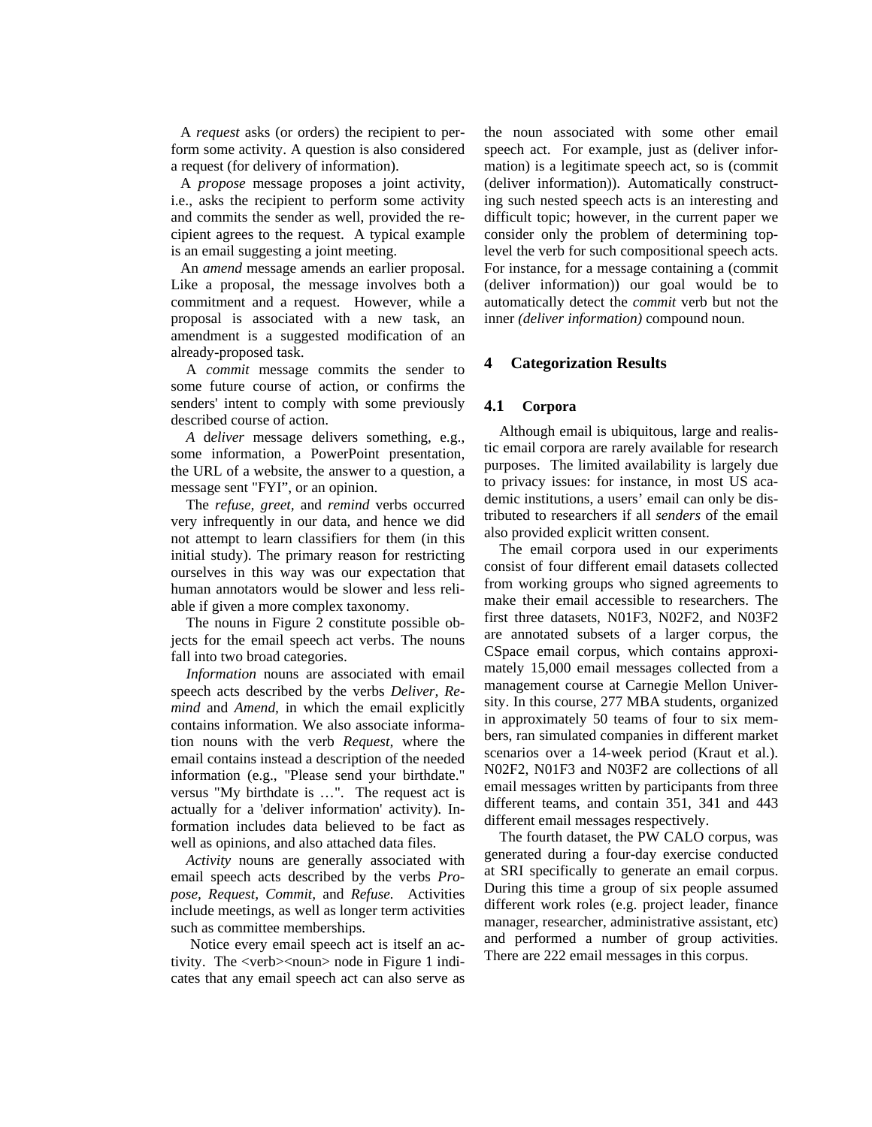A *request* asks (or orders) the recipient to perform some activity. A question is also considered a request (for delivery of information).

A *propose* message proposes a joint activity, i.e., asks the recipient to perform some activity and commits the sender as well, provided the recipient agrees to the request. A typical example is an email suggesting a joint meeting.

An *amend* message amends an earlier proposal. Like a proposal, the message involves both a commitment and a request. However, while a proposal is associated with a new task, an amendment is a suggested modification of an already-proposed task.

A *commit* message commits the sender to some future course of action, or confirms the senders' intent to comply with some previously described course of action.

*A* d*eliver* message delivers something, e.g., some information, a PowerPoint presentation, the URL of a website, the answer to a question, a message sent "FYI", or an opinion.

The *refuse, greet,* and *remind* verbs occurred very infrequently in our data, and hence we did not attempt to learn classifiers for them (in this initial study). The primary reason for restricting ourselves in this way was our expectation that human annotators would be slower and less reliable if given a more complex taxonomy.

The nouns in Figure 2 constitute possible objects for the email speech act verbs. The nouns fall into two broad categories.

*Information* nouns are associated with email speech acts described by the verbs *Deliver, Remind* and *Amend,* in which the email explicitly contains information. We also associate information nouns with the verb *Request,* where the email contains instead a description of the needed information (e.g., "Please send your birthdate." versus "My birthdate is …". The request act is actually for a 'deliver information' activity). Information includes data believed to be fact as well as opinions, and also attached data files.

*Activity* nouns are generally associated with email speech acts described by the verbs *Propose, Request, Commit,* and *Refuse.* Activities include meetings, as well as longer term activities such as committee memberships.

Notice every email speech act is itself an activity. The <verb><noun> node in Figure 1 indicates that any email speech act can also serve as the noun associated with some other email speech act. For example, just as (deliver information) is a legitimate speech act, so is (commit (deliver information)). Automatically constructing such nested speech acts is an interesting and difficult topic; however, in the current paper we consider only the problem of determining toplevel the verb for such compositional speech acts. For instance, for a message containing a (commit (deliver information)) our goal would be to automatically detect the *commit* verb but not the inner *(deliver information)* compound noun.

#### **4 Categorization Results**

#### **4.1 Corpora**

Although email is ubiquitous, large and realistic email corpora are rarely available for research purposes. The limited availability is largely due to privacy issues: for instance, in most US academic institutions, a users' email can only be distributed to researchers if all *senders* of the email also provided explicit written consent.

The email corpora used in our experiments consist of four different email datasets collected from working groups who signed agreements to make their email accessible to researchers. The first three datasets, N01F3, N02F2, and N03F2 are annotated subsets of a larger corpus, the CSpace email corpus, which contains approximately 15,000 email messages collected from a management course at Carnegie Mellon University. In this course, 277 MBA students, organized in approximately 50 teams of four to six members, ran simulated companies in different market scenarios over a 14-week period (Kraut et al.). N02F2, N01F3 and N03F2 are collections of all email messages written by participants from three different teams, and contain 351, 341 and 443 different email messages respectively.

The fourth dataset, the PW CALO corpus, was generated during a four-day exercise conducted at SRI specifically to generate an email corpus. During this time a group of six people assumed different work roles (e.g. project leader, finance manager, researcher, administrative assistant, etc) and performed a number of group activities. There are 222 email messages in this corpus.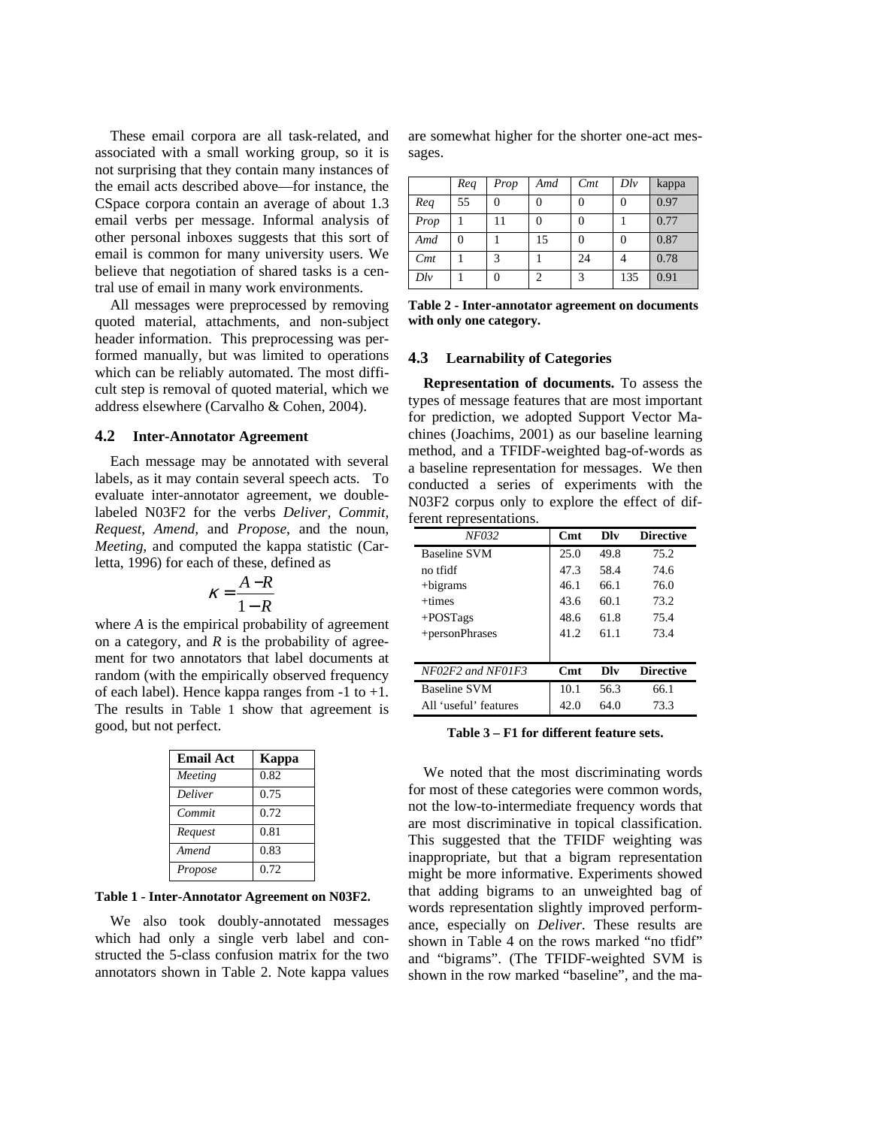These email corpora are all task-related, and associated with a small working group, so it is not surprising that they contain many instances of the email acts described above—for instance, the CSpace corpora contain an average of about 1.3 email verbs per message. Informal analysis of other personal inboxes suggests that this sort of email is common for many university users. We believe that negotiation of shared tasks is a central use of email in many work environments.

All messages were preprocessed by removing quoted material, attachments, and non-subject header information. This preprocessing was performed manually, but was limited to operations which can be reliably automated. The most difficult step is removal of quoted material, which we address elsewhere (Carvalho & Cohen, 2004).

#### **4.2 Inter-Annotator Agreement**

Each message may be annotated with several labels, as it may contain several speech acts. To evaluate inter-annotator agreement, we doublelabeled N03F2 for the verbs *Deliver, Commit, Request, Amend,* and *Propose*, and the noun, *Meeting,* and computed the kappa statistic (Carletta, 1996) for each of these, defined as

$$
\kappa = \frac{A - R}{1 - R}
$$

where *A* is the empirical probability of agreement on a category, and  $R$  is the probability of agreement for two annotators that label documents at random (with the empirically observed frequency of each label). Hence kappa ranges from  $-1$  to  $+1$ . The results in Table 1 show that agreement is good, but not perfect.

| <b>Email Act</b> | Kappa |
|------------------|-------|
| Meeting          | 0.82  |
| <b>Deliver</b>   | 0.75  |
| Commit           | 0.72  |
| Request          | 0.81  |
| Amend            | 0.83  |
| Propose          | 0.72  |

**Table 1 - Inter-Annotator Agreement on N03F2.** 

We also took doubly-annotated messages which had only a single verb label and constructed the 5-class confusion matrix for the two annotators shown in Table 2. Note kappa values

are somewhat higher for the shorter one-act messages.

|           | Req | Prop | Amd | Cmt      | $D\{iv}$ | kappa |
|-----------|-----|------|-----|----------|----------|-------|
| Req       | 55  |      |     | $\Omega$ |          | 0.97  |
| Prop      |     | 11   | 0   | $\Omega$ |          | 0.77  |
| Amd       |     |      | 15  | $\Omega$ |          | 0.87  |
| Cmt       |     | 3    |     | 24       |          | 0.78  |
| $D\ell v$ |     |      | っ   | 3        | 135      | 0.91  |

**Table 2 - Inter-annotator agreement on documents with only one category.** 

#### **4.3 Learnability of Categories**

**Representation of documents.** To assess the types of message features that are most important for prediction, we adopted Support Vector Machines (Joachims, 2001) as our baseline learning method, and a TFIDF-weighted bag-of-words as a baseline representation for messages. We then conducted a series of experiments with the N03F2 corpus only to explore the effect of different representations.

| NF032                 | Cmt             | Dlv  | <b>Directive</b> |
|-----------------------|-----------------|------|------------------|
| Baseline SVM          | 25.0            | 49.8 | 75.2             |
| no tfidf              | 47.3            | 58.4 | 74.6             |
| $+$ bigrams           | 46.1            | 66.1 | 76.0             |
| $+ \text{times}$      | 43.6            | 60.1 | 73.2             |
| $+$ POSTags           | 48.6            | 61.8 | 75.4             |
| +personPhrases        | 41.2.           | 61.1 | 73.4             |
|                       |                 |      |                  |
| NF02F2 and NF01F3     | C <sub>mt</sub> | Dlv  | <b>Directive</b> |
| <b>Baseline SVM</b>   | 10.1            | 56.3 | 66.1             |
| All 'useful' features | 42.0            | 64.0 | 73.3             |

**Table 3 – F1 for different feature sets.**

We noted that the most discriminating words for most of these categories were common words, not the low-to-intermediate frequency words that are most discriminative in topical classification. This suggested that the TFIDF weighting was inappropriate, but that a bigram representation might be more informative. Experiments showed that adding bigrams to an unweighted bag of words representation slightly improved performance, especially on *Deliver*. These results are shown in Table 4 on the rows marked "no tfidf" and "bigrams". (The TFIDF-weighted SVM is shown in the row marked "baseline", and the ma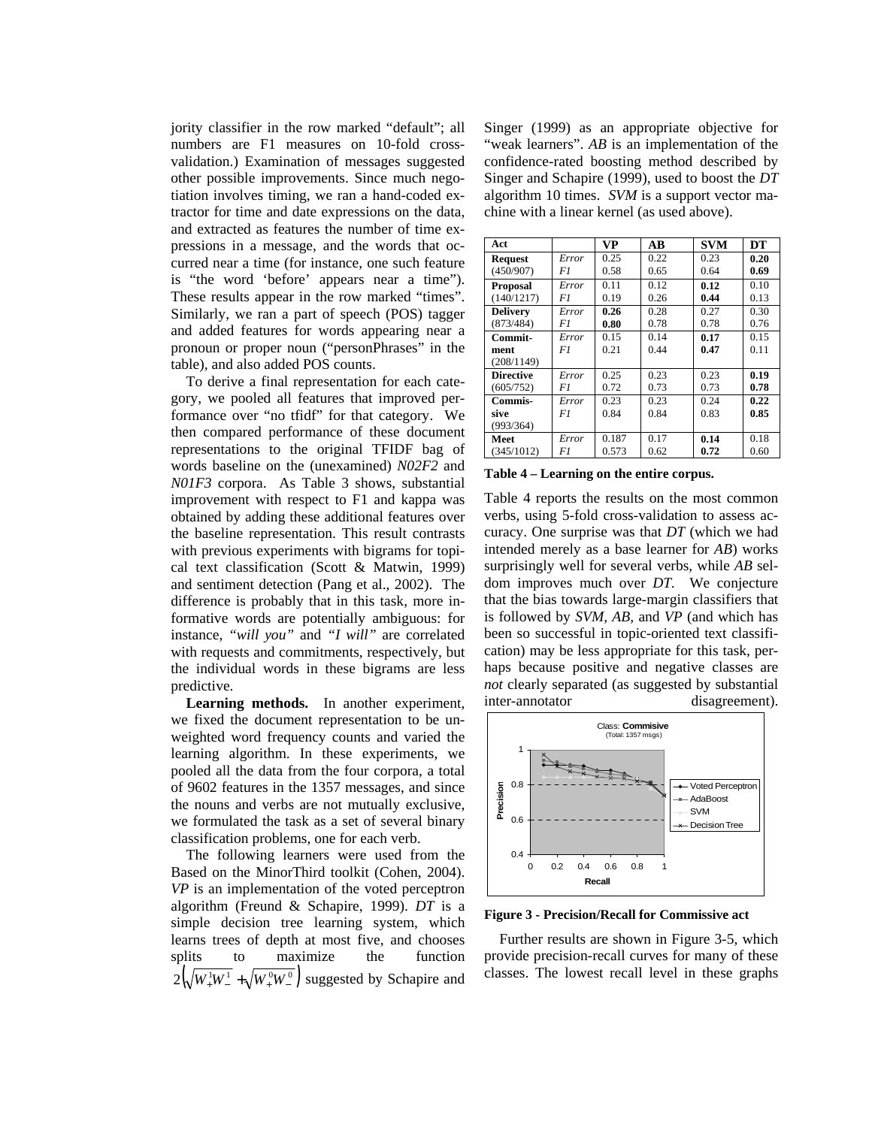jority classifier in the row marked "default"; all numbers are F1 measures on 10-fold crossvalidation.) Examination of messages suggested other possible improvements. Since much negotiation involves timing, we ran a hand-coded extractor for time and date expressions on the data, and extracted as features the number of time expressions in a message, and the words that occurred near a time (for instance, one such feature is "the word 'before' appears near a time"). These results appear in the row marked "times". Similarly, we ran a part of speech (POS) tagger and added features for words appearing near a pronoun or proper noun ("personPhrases" in the table), and also added POS counts.

To derive a final representation for each category, we pooled all features that improved performance over "no tfidf" for that category. We then compared performance of these document representations to the original TFIDF bag of words baseline on the (unexamined) *N02F2* and *N01F3* corpora. As Table 3 shows, substantial improvement with respect to F1 and kappa was obtained by adding these additional features over the baseline representation. This result contrasts with previous experiments with bigrams for topical text classification (Scott & Matwin, 1999) and sentiment detection (Pang et al., 2002). The difference is probably that in this task, more informative words are potentially ambiguous: for instance, *"will you"* and *"I will"* are correlated with requests and commitments, respectively, but the individual words in these bigrams are less predictive.

**Learning methods.** In another experiment, we fixed the document representation to be unweighted word frequency counts and varied the learning algorithm. In these experiments, we pooled all the data from the four corpora, a total of 9602 features in the 1357 messages, and since the nouns and verbs are not mutually exclusive, we formulated the task as a set of several binary classification problems, one for each verb.

The following learners were used from the Based on the MinorThird toolkit (Cohen, 2004). *VP* is an implementation of the voted perceptron algorithm (Freund & Schapire, 1999). *DT* is a simple decision tree learning system, which learns trees of depth at most five, and chooses splits to maximize the function  $2(\sqrt{W_+^1W_-^1} + \sqrt{W_+^0W_-^0})$  suggested by Schapire and Singer (1999) as an appropriate objective for "weak learners". *AB* is an implementation of the confidence-rated boosting method described by Singer and Schapire (1999), used to boost the *DT* algorithm 10 times. *SVM* is a support vector machine with a linear kernel (as used above).

| Act              |       | <b>VP</b> | $\overline{AB}$ | <b>SVM</b> | DT   |
|------------------|-------|-----------|-----------------|------------|------|
| <b>Request</b>   | Error | 0.25      | 0.22            | 0.23       | 0.20 |
| (450/907)        | F1    | 0.58      | 0.65            | 0.64       | 0.69 |
| <b>Proposal</b>  | Error | 0.11      | 0.12            | 0.12       | 0.10 |
| (140/1217)       | F1    | 0.19      | 0.26            | 0.44       | 0.13 |
| <b>Delivery</b>  | Error | 0.26      | 0.28            | 0.27       | 0.30 |
| (873/484)        | F1    | 0.80      | 0.78            | 0.78       | 0.76 |
| Commit-          | Error | 0.15      | 0.14            | 0.17       | 015  |
| ment             | F1    | 0.21      | 0.44            | 0.47       | 0.11 |
| (208/1149)       |       |           |                 |            |      |
| <b>Directive</b> | Error | 0.25      | 0.23            | 0.23       | 0.19 |
| (605/752)        | F1    | 0.72      | 0.73            | 0.73       | 0.78 |
| Commis-          | Error | 0.23      | 0.23            | 0.24       | 0.22 |
| sive             | F1    | 0.84      | 0.84            | 0.83       | 0.85 |
| (993/364)        |       |           |                 |            |      |
| Meet             | Error | 0.187     | 0.17            | 0.14       | 0.18 |
| (345/1012)       | F1    | 0.573     | 0.62            | 0.72       | 0.60 |

**Table 4 – Learning on the entire corpus.** 

Table 4 reports the results on the most common verbs, using 5-fold cross-validation to assess accuracy. One surprise was that *DT* (which we had intended merely as a base learner for *AB*) works surprisingly well for several verbs, while *AB* seldom improves much over *DT.* We conjecture that the bias towards large-margin classifiers that is followed by *SVM, AB,* and *VP* (and which has been so successful in topic-oriented text classification) may be less appropriate for this task, perhaps because positive and negative classes are *not* clearly separated (as suggested by substantial inter-annotator disagreement).



**Figure 3 - Precision/Recall for Commissive act** 

Further results are shown in Figure 3-5, which provide precision-recall curves for many of these classes. The lowest recall level in these graphs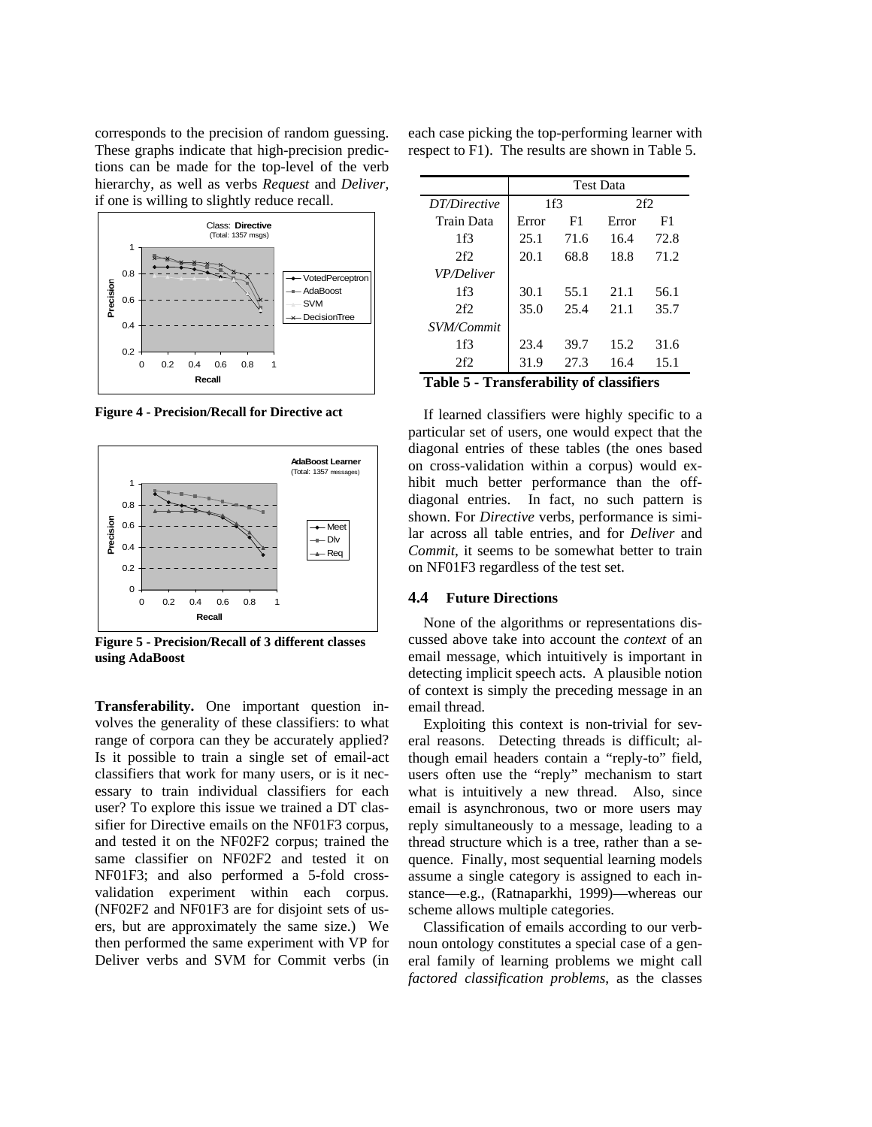corresponds to the precision of random guessing. These graphs indicate that high-precision predictions can be made for the top-level of the verb hierarchy, as well as verbs *Request* and *Deliver,*  if one is willing to slightly reduce recall.



**Figure 4 - Precision/Recall for Directive act** 



**Figure 5 - Precision/Recall of 3 different classes using AdaBoost** 

**Transferability.** One important question involves the generality of these classifiers: to what range of corpora can they be accurately applied? Is it possible to train a single set of email-act classifiers that work for many users, or is it necessary to train individual classifiers for each user? To explore this issue we trained a DT classifier for Directive emails on the NF01F3 corpus, and tested it on the NF02F2 corpus; trained the same classifier on NF02F2 and tested it on NF01F3; and also performed a 5-fold crossvalidation experiment within each corpus. (NF02F2 and NF01F3 are for disjoint sets of users, but are approximately the same size.) We then performed the same experiment with VP for Deliver verbs and SVM for Commit verbs (in

each case picking the top-performing learner with respect to F1). The results are shown in Table 5.

|                   | <b>Test Data</b> |      |       |      |
|-------------------|------------------|------|-------|------|
| DT/Directive      | 1f3              |      | 2f2   |      |
| Train Data        | Error            | F1   | Error | F1   |
| 1f3               | 25.1             | 71.6 | 16.4  | 72.8 |
| 2f2               | 20.1             | 68.8 | 18.8  | 71.2 |
| <b>VP/Deliver</b> |                  |      |       |      |
| 1f3               | 30.1             | 55.1 | 21.1  | 56.1 |
| 2f2               | 35.0             | 25.4 | 21.1  | 35.7 |
| SVM/Commit        |                  |      |       |      |
| 1f3               | 23.4             | 39.7 | 15.2  | 31.6 |
| 2f2               | 31.9             | 27.3 | 16.4  | 15.1 |

**Table 5 - Transferability of classifiers** 

If learned classifiers were highly specific to a particular set of users, one would expect that the diagonal entries of these tables (the ones based on cross-validation within a corpus) would exhibit much better performance than the offdiagonal entries. In fact, no such pattern is shown. For *Directive* verbs, performance is similar across all table entries, and for *Deliver* and *Commit*, it seems to be somewhat better to train on NF01F3 regardless of the test set.

### **4.4 Future Directions**

None of the algorithms or representations discussed above take into account the *context* of an email message, which intuitively is important in detecting implicit speech acts. A plausible notion of context is simply the preceding message in an email thread.

Exploiting this context is non-trivial for several reasons. Detecting threads is difficult; although email headers contain a "reply-to" field, users often use the "reply" mechanism to start what is intuitively a new thread. Also, since email is asynchronous, two or more users may reply simultaneously to a message, leading to a thread structure which is a tree, rather than a sequence. Finally, most sequential learning models assume a single category is assigned to each instance—e.g., (Ratnaparkhi, 1999)—whereas our scheme allows multiple categories.

Classification of emails according to our verbnoun ontology constitutes a special case of a general family of learning problems we might call *factored classification problems*, as the classes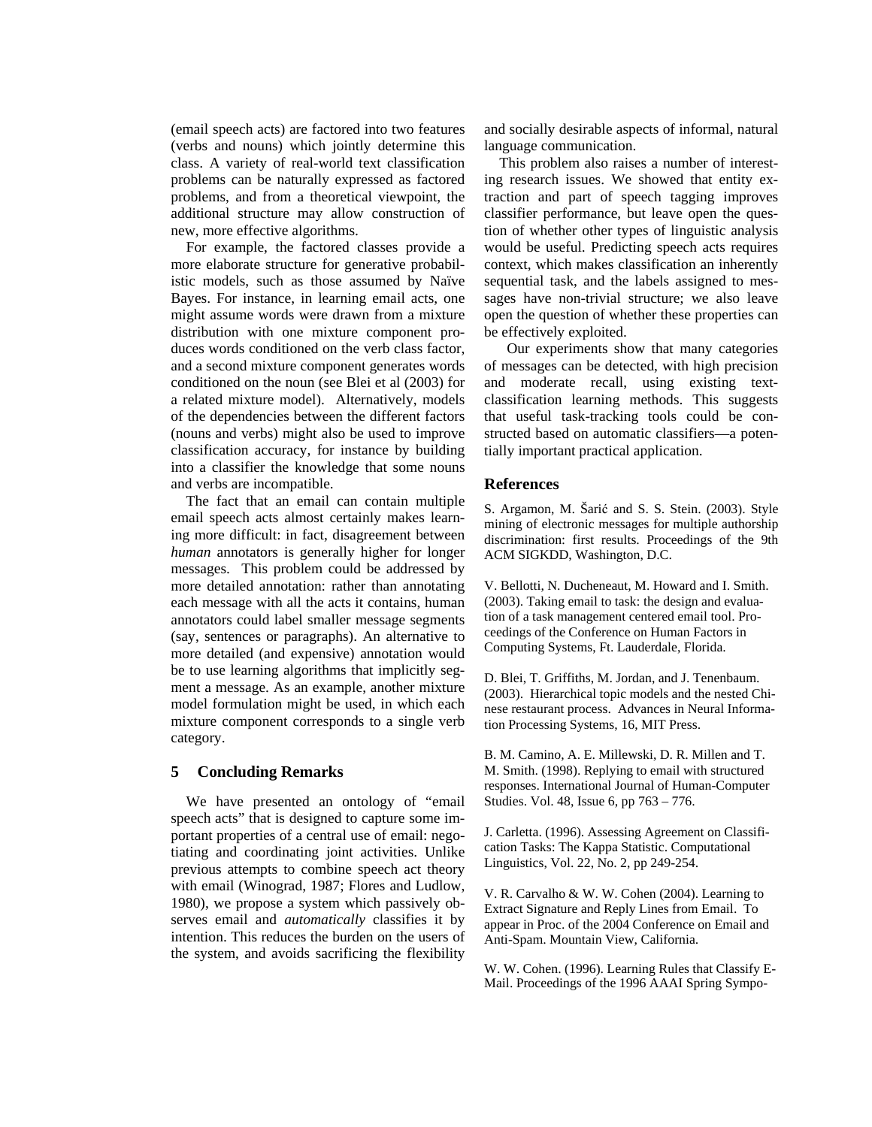(email speech acts) are factored into two features (verbs and nouns) which jointly determine this class. A variety of real-world text classification problems can be naturally expressed as factored problems, and from a theoretical viewpoint, the additional structure may allow construction of new, more effective algorithms.

For example, the factored classes provide a more elaborate structure for generative probabilistic models, such as those assumed by Naïve Bayes. For instance, in learning email acts, one might assume words were drawn from a mixture distribution with one mixture component produces words conditioned on the verb class factor, and a second mixture component generates words conditioned on the noun (see Blei et al (2003) for a related mixture model). Alternatively, models of the dependencies between the different factors (nouns and verbs) might also be used to improve classification accuracy, for instance by building into a classifier the knowledge that some nouns and verbs are incompatible.

The fact that an email can contain multiple email speech acts almost certainly makes learning more difficult: in fact, disagreement between *human* annotators is generally higher for longer messages. This problem could be addressed by more detailed annotation: rather than annotating each message with all the acts it contains, human annotators could label smaller message segments (say, sentences or paragraphs). An alternative to more detailed (and expensive) annotation would be to use learning algorithms that implicitly segment a message. As an example, another mixture model formulation might be used, in which each mixture component corresponds to a single verb category.

# **5 Concluding Remarks**

We have presented an ontology of "email speech acts" that is designed to capture some important properties of a central use of email: negotiating and coordinating joint activities. Unlike previous attempts to combine speech act theory with email (Winograd, 1987; Flores and Ludlow, 1980), we propose a system which passively observes email and *automatically* classifies it by intention. This reduces the burden on the users of the system, and avoids sacrificing the flexibility

and socially desirable aspects of informal, natural language communication.

This problem also raises a number of interesting research issues. We showed that entity extraction and part of speech tagging improves classifier performance, but leave open the question of whether other types of linguistic analysis would be useful. Predicting speech acts requires context, which makes classification an inherently sequential task, and the labels assigned to messages have non-trivial structure; we also leave open the question of whether these properties can be effectively exploited.

 Our experiments show that many categories of messages can be detected, with high precision and moderate recall, using existing textclassification learning methods. This suggests that useful task-tracking tools could be constructed based on automatic classifiers—a potentially important practical application.

#### **References**

S. Argamon, M. Šariç and S. S. Stein. (2003). Style mining of electronic messages for multiple authorship discrimination: first results. Proceedings of the 9th ACM SIGKDD, Washington, D.C.

V. Bellotti, N. Ducheneaut, M. Howard and I. Smith. (2003). Taking email to task: the design and evaluation of a task management centered email tool. Proceedings of the Conference on Human Factors in Computing Systems, Ft. Lauderdale, Florida.

D. Blei, T. Griffiths, M. Jordan, and J. Tenenbaum. (2003). Hierarchical topic models and the nested Chinese restaurant process. Advances in Neural Information Processing Systems, 16, MIT Press.

B. M. Camino, A. E. Millewski, D. R. Millen and T. M. Smith. (1998). Replying to email with structured responses. International Journal of Human-Computer Studies. Vol. 48, Issue 6, pp 763 – 776.

J. Carletta. (1996). Assessing Agreement on Classification Tasks: The Kappa Statistic. Computational Linguistics, Vol. 22, No. 2, pp 249-254.

V. R. Carvalho & W. W. Cohen (2004). Learning to Extract Signature and Reply Lines from Email. To appear in Proc. of the 2004 Conference on Email and Anti-Spam. Mountain View, California.

W. W. Cohen. (1996). Learning Rules that Classify E-Mail. Proceedings of the 1996 AAAI Spring Sympo